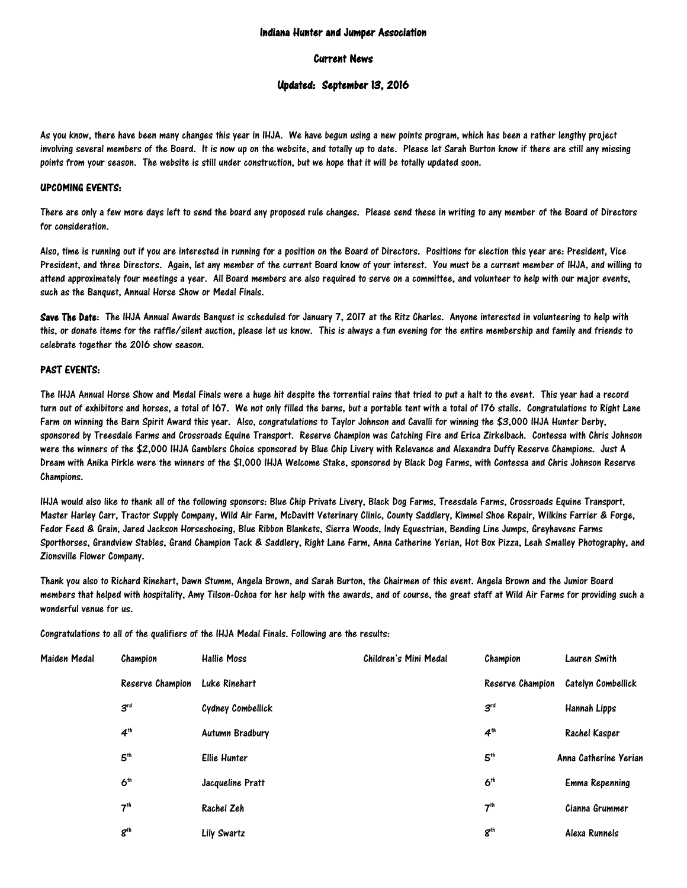### Indiana Hunter and Jumper Association

#### Current News

# Updated: September 13, 2016

As you know, there have been many changes this year in IHJA. We have begun using a new points program, which has been a rather lengthy project involving several members of the Board. It is now up on the website, and totally up to date. Please let Sarah Burton know if there are still any missing points from your season. The website is still under construction, but we hope that it will be totally updated soon.

# UPCOMING EVENTS:

There are only a few more days left to send the board any proposed rule changes. Please send these in writing to any member of the Board of Directors for concideration.

Also, time is running out if you are interested in running for a position on the Board of Directors. Positions for election this year are: President, Vice President, and three Directors. Again, let any member of the current Board know of your interest. You must be a current member of IHJA, and willing to attend approximately four meetings a year. All Board members are also required to serve on a committee, and volunteer to help with our major events, such as the Banquet, Annual Horse Show or Medal Finals.

Save The Date: The IHJA Annual Awards Banquet is scheduled for January 7, 2017 at the Ritz Charles. Anyone interested in volunteering to help with this, or donate items for the raffle/silent auction, please let us know. This is always a fun evening for the entire membership and family and friends to celebrate together the 2016 show season.

# PAST EVENTS:

The IHJA Annual Horse Show and Medal Finals were a huge hit despite the torrential rains that tried to put a halt to the event. This year had a record turn out of exhibitors and horses, a total of 167. We not only filled the barns, but a portable tent with a total of 176 stalls. Congratulations to Right Lane Farm on winning the Barn Spirit Award this year. Also, congratulations to Taylor Johnson and Cavalli for winning the \$3,000 IHJA Hunter Derby, sponsored by Treesdale Farms and Crossroads Equine Transport. Reserve Champion was Catching Fire and Erica Zirkelbach. Contessa with Chris Johnson were the winners of the \$2,000 IHJA Gamblers Choice sponsored by Blue Chip Livery with Relevance and Alexandra Duffy Reserve Champions. Just A Dream with Anika Pirkle were the winners of the \$1,000 IHJA Welcome Stake, sponsored by Black Dog Farms, with Contessa and Chris Johnson Reserve Champions.

IHJA would also like to thank all of the following sponsors: Blue Chip Private Livery, Black Dog Farms, Treesdale Farms, Crossroads Equine Transport, Master Harley Carr, Tractor Supply Company, Wild Air Farm, McDavitt Veterinary Clinic, County Saddlery, Kimmel Shoe Repair, Wilkins Farrier & Forge, Fedor Feed & Grain, Jared Jackson Horseshoeing, Blue Ribbon Blankets, Sierra Woods, Indy Equestrian, Bending Line Jumps, Greyhavens Farms Sporthorses, Grandview Stables, Grand Champion Tack & Saddlery, Right Lane Farm, Anna Catherine Yerian, Hot Box Pizza, Leah Smalley Photography, and Zionsville Flower Company.

Thank you also to Richard Rinehart, Dawn Stumm, Angela Brown, and Sarah Burton, the Chairmen of this event. Angela Brown and the Junior Board members that helped with hospitality, Amy Tilson-Ochoa for her help with the awards, and of course, the great staff at Wild Air Farms for providing such a wonderful venue for us.

Congratulations to all of the qualifiers of the IHJA Medal Finals. Following are the results:

| Maiden Medal | Champion         | <b>Hallie Moss</b>     | Children's Mini Medal | Champion         | Lauren Smith              |
|--------------|------------------|------------------------|-----------------------|------------------|---------------------------|
|              | Reserve Champion | Luke Rinehart          |                       | Reserve Champion | <b>Catelyn Combellick</b> |
|              | $3^{rd}$         | Cydney Combellick      |                       | 3 <sup>rd</sup>  | Hannah Lipps              |
|              | 4 <sup>th</sup>  | <b>Autumn Bradbury</b> |                       | 4 <sup>th</sup>  | Rachel Kasper             |
|              | 5 <sup>th</sup>  | <b>Ellie Hunter</b>    |                       | 5 <sup>th</sup>  | Anna Catherine Yerian     |
|              | $6^{\text{th}}$  | Jacqueline Pratt       |                       | 6 <sup>th</sup>  | Emma Repenning            |
|              | 7 <sup>th</sup>  | Rachel Zeh             |                       | 7 <sup>th</sup>  | Cianna Grummer            |
|              | $g^{\text{th}}$  | Lily Swartz            |                       | $g^{\text{th}}$  | Alexa Runnels             |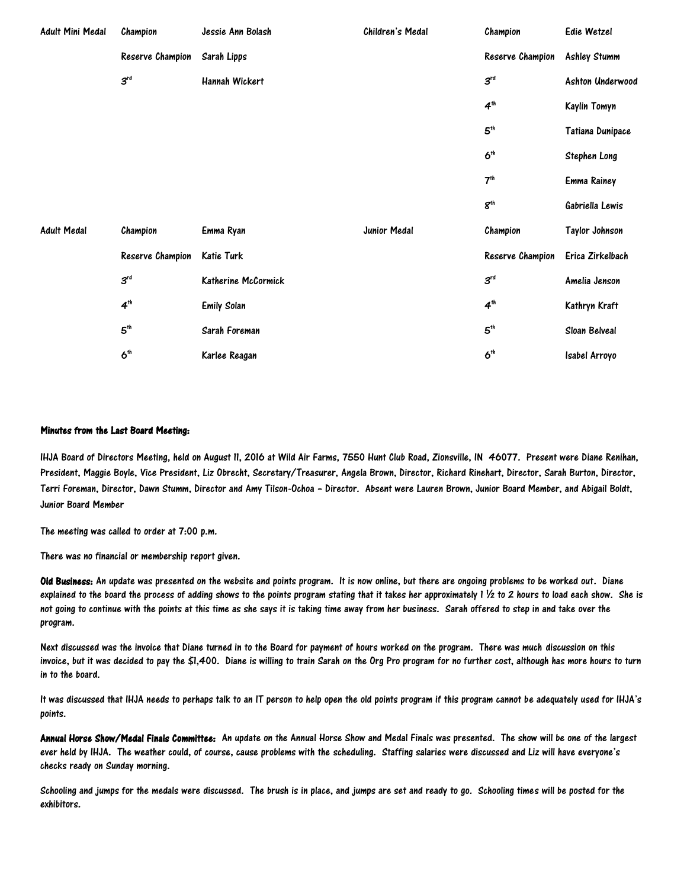| Adult Mini Medal   | Champion         | Jessie Ann Bolash   | Children's Medal | Champion               | Edie Wetzel         |
|--------------------|------------------|---------------------|------------------|------------------------|---------------------|
|                    | Reserve Champion | Sarah Lipps         |                  | Reserve Champion       | <b>Ashley Stumm</b> |
|                    | $3^{rd}$         | Hannah Wickert      |                  | $3^{rd}$               | Ashton Underwood    |
|                    |                  |                     |                  | 4 <sup>th</sup>        | Kaylin Tomyn        |
|                    |                  |                     |                  | 5 <sup>th</sup>        | Tatiana Dunipace    |
|                    |                  |                     |                  | $6^{\text{th}}$        | Stephen Long        |
|                    |                  |                     |                  | 7 <sup>th</sup>        | <b>Emma Rainey</b>  |
|                    |                  |                     |                  | $\mathbf{g}^\text{th}$ | Gabriella Lewis     |
| <b>Adult Medal</b> | Champion         | Emma Ryan           | Junior Medal     | Champion               | Taylor Johnson      |
|                    | Reserve Champion | Katie Turk          |                  | Reserve Champion       | Erica Zirkelbach    |
|                    | $3^{rd}$         | Katherine McCormick |                  | $3^{rd}$               | Amelia Jenson       |
|                    | 4 <sup>th</sup>  | <b>Emily Solan</b>  |                  | 4 <sup>th</sup>        | Kathryn Kraft       |
|                    | 5 <sup>th</sup>  | Sarah Foreman       |                  | 5 <sup>th</sup>        | Sloan Belveal       |
|                    | 6 <sup>th</sup>  | Karlee Reagan       |                  | 6 <sup>th</sup>        | Isabel Arroyo       |

#### Minutes from the Last Board Meeting:

IHJA Board of Directors Meeting, held on August 11, 2016 at Wild Air Farms, 7550 Hunt Club Road, Zionsville, IN 46077. Present were Diane Renihan, President, Maggie Boyle, Vice President, Liz Obrecht, Secretary/Treasurer, Angela Brown, Director, Richard Rinehart, Director, Sarah Burton, Director, Terri Foreman, Director, Dawn Stumm, Director and Amy Tilson-Ochoa – Director. Absent were Lauren Brown, Junior Board Member, and Abigail Boldt, Junior Board Member

The meeting was called to order at 7:00 p.m.

There was no financial or membership report given.

Old Business: An update was presented on the website and points program. It is now online, but there are ongoing problems to be worked out. Diane explained to the board the process of adding shows to the points program stating that it takes her approximately 1 ½ to 2 hours to load each show. She is not going to continue with the points at this time as she says it is taking time away from her business. Sarah offered to step in and take over the program.

Next discussed was the invoice that Diane turned in to the Board for payment of hours worked on the program. There was much discussion on this invoice, but it was decided to pay the \$1,400. Diane is willing to train Sarah on the Org Pro program for no further cost, although has more hours to turn in to the board.

It was discussed that IHJA needs to perhaps talk to an IT person to help open the old points program if this program cannot be adequately used for IHJA's points.

Annual Horse Show/Medal Finals Committee: An update on the Annual Horse Show and Medal Finals was presented. The show will be one of the largest ever held by IHJA. The weather could, of course, cause problems with the scheduling. Staffing salaries were discussed and Liz will have everyone's checks ready on Sunday morning.

Schooling and jumps for the medals were discussed. The brush is in place, and jumps are set and ready to go. Schooling times will be posted for the exhibitors.